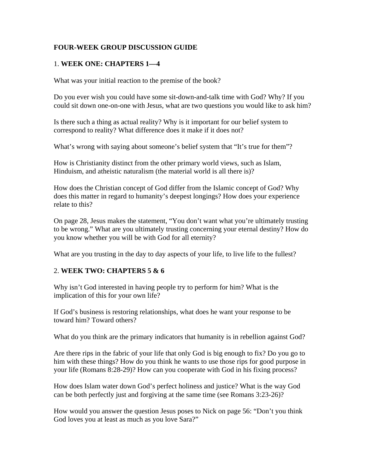## **FOUR-WEEK GROUP DISCUSSION GUIDE**

# 1. **WEEK ONE: CHAPTERS 1—4**

What was your initial reaction to the premise of the book?

Do you ever wish you could have some sit-down-and-talk time with God? Why? If you could sit down one-on-one with Jesus, what are two questions you would like to ask him?

Is there such a thing as actual reality? Why is it important for our belief system to correspond to reality? What difference does it make if it does not?

What's wrong with saying about someone's belief system that "It's true for them"?

How is Christianity distinct from the other primary world views, such as Islam, Hinduism, and atheistic naturalism (the material world is all there is)?

How does the Christian concept of God differ from the Islamic concept of God? Why does this matter in regard to humanity's deepest longings? How does your experience relate to this?

On page 28, Jesus makes the statement, "You don't want what you're ultimately trusting to be wrong." What are you ultimately trusting concerning your eternal destiny? How do you know whether you will be with God for all eternity?

What are you trusting in the day to day aspects of your life, to live life to the fullest?

### 2. **WEEK TWO: CHAPTERS 5 & 6**

Why isn't God interested in having people try to perform for him? What is the implication of this for your own life?

If God's business is restoring relationships, what does he want your response to be toward him? Toward others?

What do you think are the primary indicators that humanity is in rebellion against God?

Are there rips in the fabric of your life that only God is big enough to fix? Do you go to him with these things? How do you think he wants to use those rips for good purpose in your life (Romans 8:28-29)? How can you cooperate with God in his fixing process?

How does Islam water down God's perfect holiness and justice? What is the way God can be both perfectly just and forgiving at the same time (see Romans 3:23-26)?

How would you answer the question Jesus poses to Nick on page 56: "Don't you think God loves you at least as much as you love Sara?"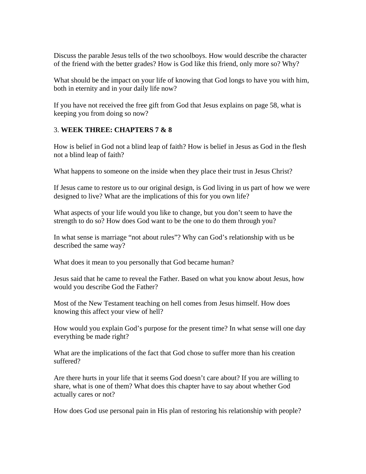Discuss the parable Jesus tells of the two schoolboys. How would describe the character of the friend with the better grades? How is God like this friend, only more so? Why?

What should be the impact on your life of knowing that God longs to have you with him, both in eternity and in your daily life now?

If you have not received the free gift from God that Jesus explains on page 58, what is keeping you from doing so now?

### 3. **WEEK THREE: CHAPTERS 7 & 8**

How is belief in God not a blind leap of faith? How is belief in Jesus as God in the flesh not a blind leap of faith?

What happens to someone on the inside when they place their trust in Jesus Christ?

If Jesus came to restore us to our original design, is God living in us part of how we were designed to live? What are the implications of this for you own life?

What aspects of your life would you like to change, but you don't seem to have the strength to do so? How does God want to be the one to do them through you?

In what sense is marriage "not about rules"? Why can God's relationship with us be described the same way?

What does it mean to you personally that God became human?

Jesus said that he came to reveal the Father. Based on what you know about Jesus, how would you describe God the Father?

Most of the New Testament teaching on hell comes from Jesus himself. How does knowing this affect your view of hell?

How would you explain God's purpose for the present time? In what sense will one day everything be made right?

What are the implications of the fact that God chose to suffer more than his creation suffered?

Are there hurts in your life that it seems God doesn't care about? If you are willing to share, what is one of them? What does this chapter have to say about whether God actually cares or not?

How does God use personal pain in His plan of restoring his relationship with people?